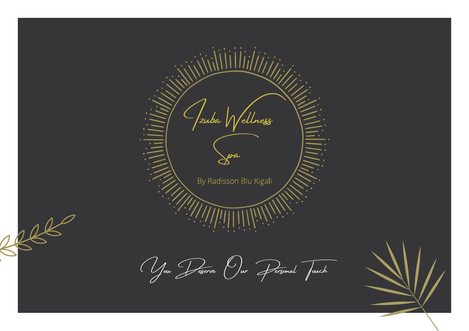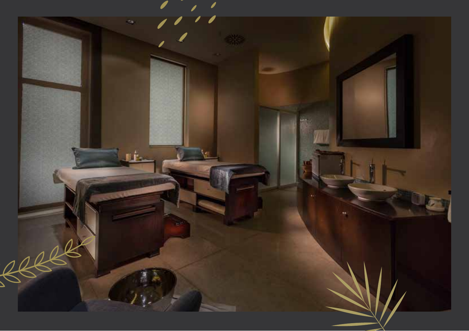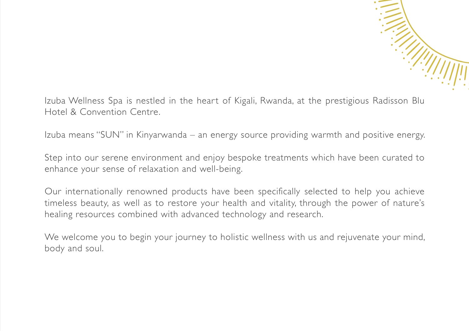

Izuba Wellness Spa is nestled in the heart of Kigali, Rwanda, at the prestigious Radisson Blu Hotel & Convention Centre.

Izuba means "SUN" in Kinyarwanda – an energy source providing warmth and positive energy.

Step into our serene environment and enjoy bespoke treatments which have been curated to enhance your sense of relaxation and well-being.

Our internationally renowned products have been specifically selected to help you achieve timeless beauty, as well as to restore your health and vitality, through the power of nature's healing resources combined with advanced technology and research.

We welcome you to begin your journey to holistic wellness with us and rejuvenate your mind, body and soul.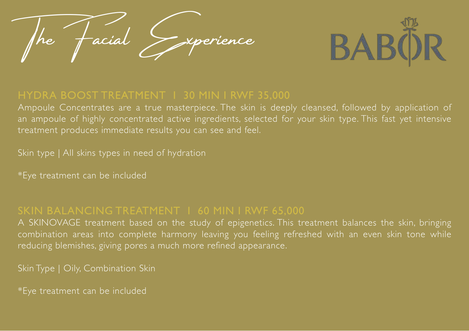he Facial Syperience



#### Hydra Boost Treatment I 30 min I RWF 35,000

Ampoule Concentrates are a true masterpiece. The skin is deeply cleansed, followed by application of an ampoule of highly concentrated active ingredients, selected for your skin type. This fast yet intensive treatment produces immediate results you can see and feel.

Skin type | All skins types in need of hydration

\*Eye treatment can be included

A SKINOVAGE treatment based on the study of epigenetics. This treatment balances the skin, bringing combination areas into complete harmony leaving you feeling refreshed with an even skin tone while reducing blemishes, giving pores a much more refined appearance.

Skin Type | Oily, Combination Skin

\*Eye treatment can be included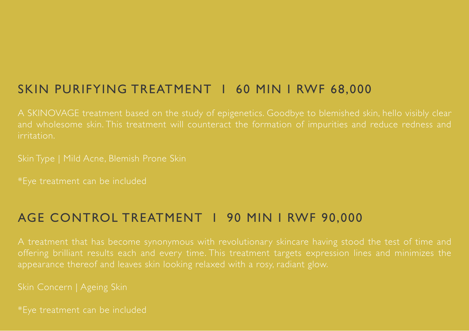# Skin Purifying Treatment I 60 min I RWF 68,000

irritation.

# Age Control Treatment I 90 min I RWF 90,000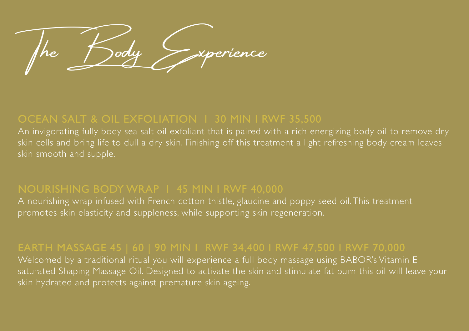ody

An invigorating fully body sea salt oil exfoliant that is paired with a rich energizing body oil to remove dry skin cells and bring life to dull a dry skin. Finishing off this treatment a light refreshing body cream leaves skin smooth and supple.

A nourishing wrap infused with French cotton thistle, glaucine and poppy seed oil. This treatment promotes skin elasticity and suppleness, while supporting skin regeneration.

Welcomed by a traditional ritual you will experience a full body massage using BABOR's Vitamin E saturated Shaping Massage Oil. Designed to activate the skin and stimulate fat burn this oil will leave your skin hydrated and protects against premature skin ageing.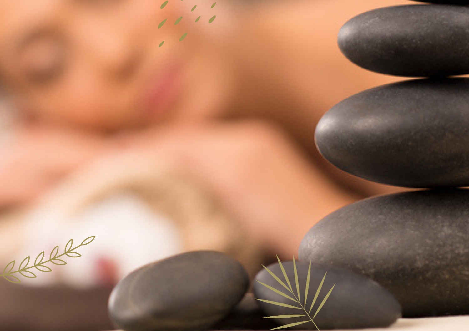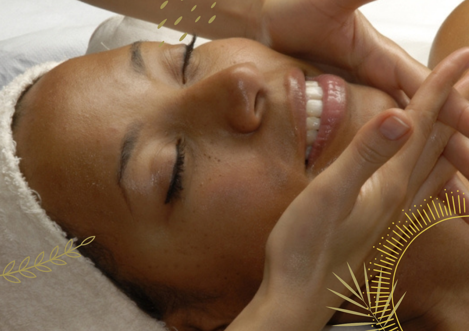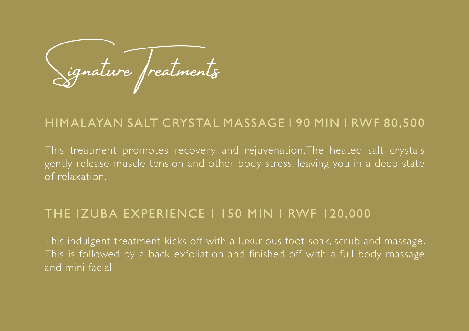ignature freatments

# HImalayan salt crystal massage I 90 mIn I rWF 80,500

This treatment promotes recovery and rejuvenation.The heated salt crystals gently release muscle tension and other body stress, leaving you in a deep state of relaxation.

# tHe IzuBa exPerIence I 150 mIn I rWF 120,000

This indulgent treatment kicks off with a luxurious foot soak, scrub and massage. This is followed by a back exfoliation and finished off with a full body massage and mini facial.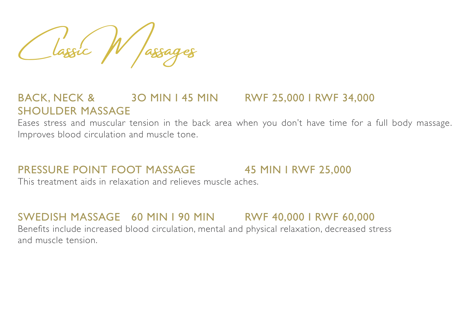Classic N Jassages

## Back, Neck & 3o min I 45 min RWF 25,000 I RWF 34,000 Shoulder Massage

Eases stress and muscular tension in the back area when you don't have time for a full body massage. Improves blood circulation and muscle tone.

### PRESSURE POINT FOOT MASSAGE 45 MIN I RWF 25,000

This treatment aids in relaxation and relieves muscle aches.

Swedish Massage 60 min I 90 min RWF 40,000 I RWF 60,000

Benefits include increased blood circulation, mental and physical relaxation, decreased stress and muscle tension.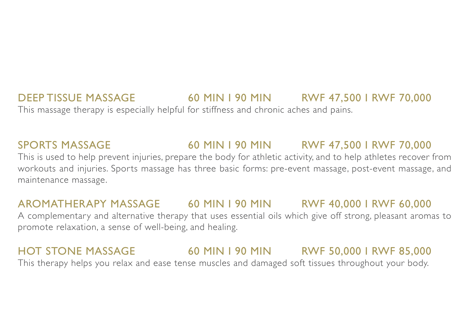## Deep Tissue Massage 60 min I 90 min RWF 47,500 I RWF 70,000 This massage therapy is especially helpful for stiffness and chronic aches and pains.

### SPORTS MASSAGE 60 MIN 1 90 MIN RWF 47,500 I RWF 70,000 This is used to help prevent injuries, prepare the body for athletic activity, and to help athletes recover from workouts and injuries. Sports massage has three basic forms: pre-event massage, post-event massage, and maintenance massage.

## Aromatherapy Massage 60 min I 90 min RWF 40,000 I RWF 60,000 A complementary and alternative therapy that uses essential oils which give off strong, pleasant aromas to promote relaxation, a sense of well-being, and healing.

## Hot Stone Massage 60 min I 90 min RWF 50,000 I RWF 85,000

This therapy helps you relax and ease tense muscles and damaged soft tissues throughout your body.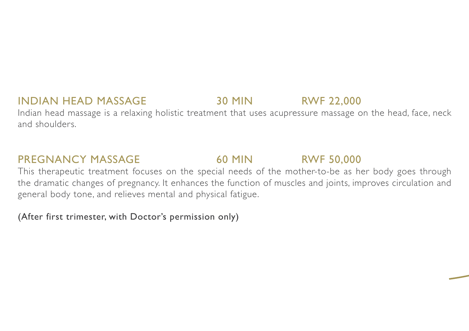## Indian Head Massage 30 min RWF 22,000

Indian head massage is a relaxing holistic treatment that uses acupressure massage on the head, face, neck and shoulders.

### PREGNANCY MASSAGE 60 MIN RWF 50,000

This therapeutic treatment focuses on the special needs of the mother-to-be as her body goes through the dramatic changes of pregnancy. It enhances the function of muscles and joints, improves circulation and general body tone, and relieves mental and physical fatigue.

#### (After first trimester, with Doctor's permission only)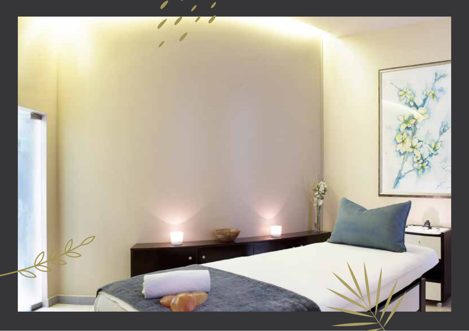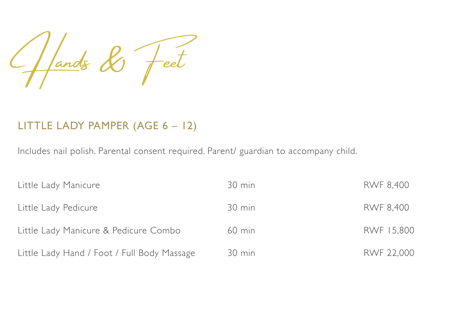Wands & Feet

## Little Lady Pamper (age 6 – 12)

Includes nail polish. Parental consent required. Parent/ guardian to accompany child.

| Little Lady Manicure                        | 30 min   | <b>RWF 8,400</b> |
|---------------------------------------------|----------|------------------|
| Little Lady Pedicure                        | 30 min   | RWF 8,400        |
| Little Lady Manicure & Pedicure Combo       | $60$ min | RWF 15,800       |
| Little Lady Hand / Foot / Full Body Massage | 30 min   | RWF 22,000       |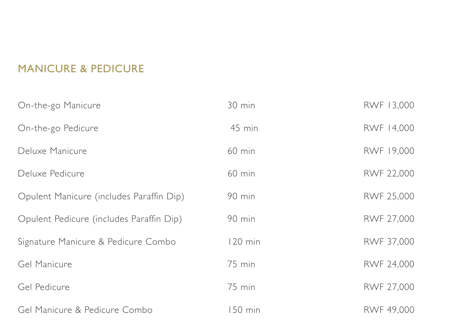# Manicure & Pedicure

| On-the-go Manicure                       | 30 min   | RWF 13,000 |
|------------------------------------------|----------|------------|
| On-the-go Pedicure                       | 45 min   | RWF 14,000 |
| Deluxe Manicure                          | 60 min   | RWF 19,000 |
| Deluxe Pedicure                          | $60$ min | RWF 22,000 |
| Opulent Manicure (includes Paraffin Dip) | 90 min   | RWF 25,000 |
| Opulent Pedicure (includes Paraffin Dip) | 90 min   | RWF 27,000 |
| Signature Manicure & Pedicure Combo      | 120 min  | RWF 37,000 |
| Gel Manicure                             | 75 min   | RWF 24,000 |
| Gel Pedicure                             | 75 min   | RWF 27,000 |
| Gel Manicure & Pedicure Combo            | 150 min  | RWF 49,000 |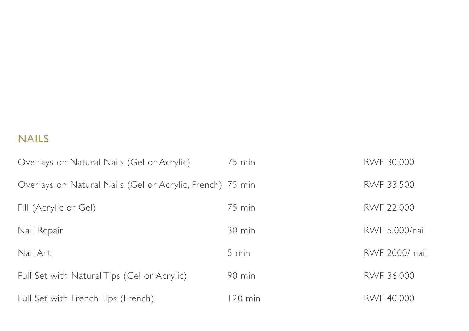# **NAILS**

| Overlays on Natural Nails (Gel or Acrylic)                | 75 min  | RWF 30,000     |
|-----------------------------------------------------------|---------|----------------|
| Overlays on Natural Nails (Gel or Acrylic, French) 75 min |         | RWF 33,500     |
| Fill (Acrylic or Gel)                                     | 75 min  | RWF 22,000     |
| Nail Repair                                               | 30 min  | RWF 5,000/nail |
| Nail Art                                                  | 5 min   | RWF 2000/ nail |
| Full Set with Natural Tips (Gel or Acrylic)               | 90 min  | RWF 36,000     |
| Full Set with French Tips (French)                        | 120 min | RWF 40,000     |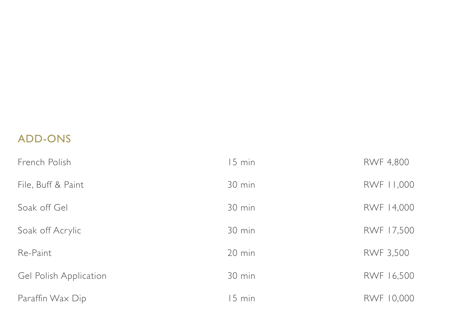# ADD-ONS

| French Polish          | 15 min | <b>RWF 4,800</b> |
|------------------------|--------|------------------|
| File, Buff & Paint     | 30 min | RWF 11,000       |
| Soak off Gel           | 30 min | RWF 14,000       |
| Soak off Acrylic       | 30 min | RWF 17,500       |
| Re-Paint               | 20 min | <b>RWF 3,500</b> |
| Gel Polish Application | 30 min | RWF 16,500       |
| Paraffin Wax Dip       | 15 min | RWF 10,000       |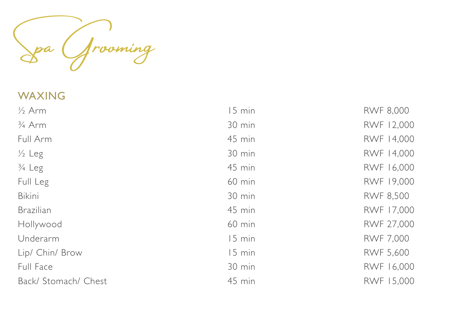

### WAXING

| $\frac{1}{2}$ Arm    | 15 min | <b>RWF 8,000</b> |
|----------------------|--------|------------------|
| $\frac{3}{4}$ Arm    | 30 min | RWF 12,000       |
| Full Arm             | 45 min | RWF 14,000       |
| $\frac{1}{2}$ Leg    | 30 min | RWF 14,000       |
| $\frac{3}{4}$ Leg    | 45 min | RWF 16,000       |
| Full Leg             | 60 min | RWF 19,000       |
| Bikini               | 30 min | <b>RWF 8,500</b> |
| Brazilian            | 45 min | RWF 17,000       |
| Hollywood            | 60 min | RWF 27,000       |
| Underarm             | 15 min | RWF 7,000        |
| Lip/ Chin/ Brow      | 15 min | <b>RWF 5,600</b> |
| Full Face            | 30 min | RWF 16,000       |
| Back/ Stomach/ Chest | 45 min | RWF 15,000       |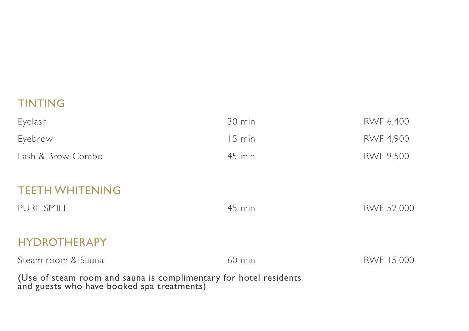|  |  | ٠<br>V. |
|--|--|---------|
|  |  |         |

| Eyelash                                                                                                         | 30 min   | <b>RWF 6,400</b> |  |
|-----------------------------------------------------------------------------------------------------------------|----------|------------------|--|
| Eyebrow                                                                                                         | 15 min   | <b>RWF 4,900</b> |  |
| Lash & Brow Combo                                                                                               | 45 min   | <b>RWF 9,500</b> |  |
|                                                                                                                 |          |                  |  |
| <b>TEETH WHITENING</b>                                                                                          |          |                  |  |
| PURE SMILE                                                                                                      | 45 min   | RWF 52,000       |  |
|                                                                                                                 |          |                  |  |
| <b>HYDROTHERAPY</b>                                                                                             |          |                  |  |
| Steam room & Sauna                                                                                              | $60$ min | RWF 15,000       |  |
| (Use of steam room and sauna is complimentary for hotel residents<br>and guests who have booked spa treatments) |          |                  |  |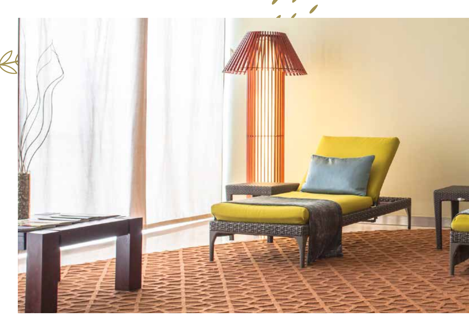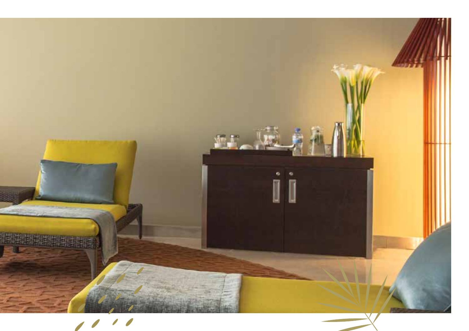

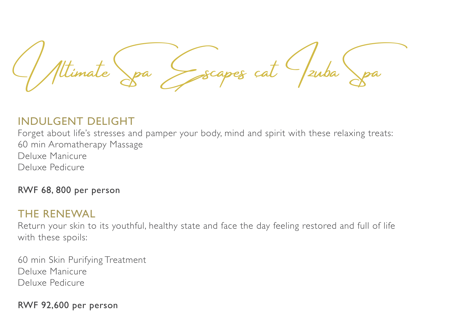Spa Spagnes cat (

### Indulgent Delight

Forget about life's stresses and pamper your body, mind and spirit with these relaxing treats: 60 min Aromatherapy Massage Deluxe Manicure Deluxe Pedicure

#### RWF 68, 800 per person

#### The Renewal

Return your skin to its youthful, healthy state and face the day feeling restored and full of life with these spoils:

60 min Skin Purifying Treatment Deluxe Manicure Deluxe Pedicure

RWF 92,600 per person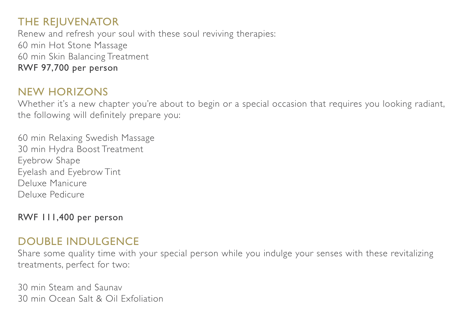## The Rejuvenator

Renew and refresh your soul with these soul reviving therapies: 60 min Hot Stone Massage 60 min Skin Balancing Treatment RWF 97,700 per person

## New Horizons

Whether it's a new chapter you're about to begin or a special occasion that requires you looking radiant, the following will definitely prepare you:

60 min Relaxing Swedish Massage 30 min Hydra Boost Treatment Eyebrow Shape Eyelash and Eyebrow Tint Deluxe Manicure Deluxe Pedicure

#### RWF 111,400 per person

## DOUBLE INDULGENCE

Share some quality time with your special person while you indulge your senses with these revitalizing treatments, perfect for two:

30 min Steam and Saunav 30 min Ocean Salt & Oil Exfoliation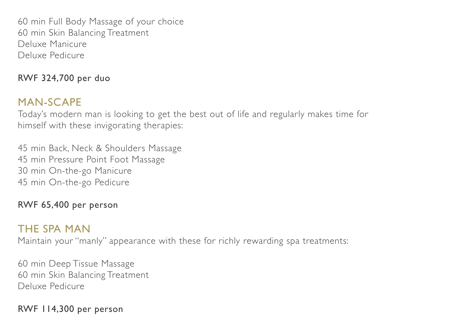60 min Full Body Massage of your choice 60 min Skin Balancing Treatment Deluxe Manicure Deluxe Pedicure

### RWF 324,700 per duo

## Man-Scape

Today's modern man is looking to get the best out of life and regularly makes time for himself with these invigorating therapies:

45 min Back, Neck & Shoulders Massage 45 min Pressure Point Foot Massage 30 min On-the-go Manicure 45 min On-the-go Pedicure

#### RWF 65,400 per person

#### The Spa Man

Maintain your "manly" appearance with these for richly rewarding spa treatments:

60 min Deep Tissue Massage 60 min Skin Balancing Treatment Deluxe Pedicure

RWF 114,300 per person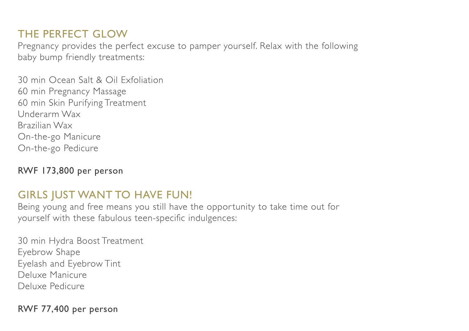## The Perfect Glow

Pregnancy provides the perfect excuse to pamper yourself. Relax with the following baby bump friendly treatments:

30 min Ocean Salt & Oil Exfoliation 60 min Pregnancy Massage 60 min Skin Purifying Treatment Underarm Wax Brazilian Wax On-the-go Manicure On-the-go Pedicure

RWF 173,800 per person

## Girls Just Want To Have Fun!

Being young and free means you still have the opportunity to take time out for yourself with these fabulous teen-specific indulgences:

30 min Hydra Boost Treatment Eyebrow Shape Eyelash and Eyebrow Tint Deluxe Manicure Deluxe Pedicure

RWF 77,400 per person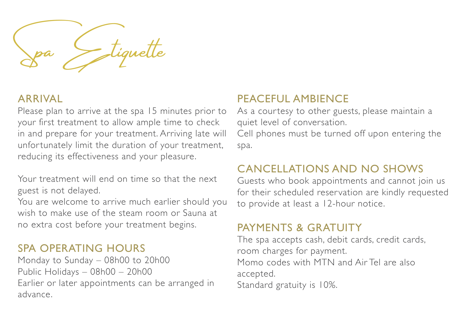

## Arrival

Please plan to arrive at the spa 15 minutes prior to your first treatment to allow ample time to check in and prepare for your treatment. Arriving late will unfortunately limit the duration of your treatment, reducing its effectiveness and your pleasure.

Your treatment will end on time so that the next guest is not delayed.

You are welcome to arrive much earlier should you wish to make use of the steam room or Sauna at no extra cost before your treatment begins.

## Spa Operating Hours

Monday to Sunday – 08h00 to 20h00 Public Holidays – 08h00 – 20h00 Earlier or later appointments can be arranged in advance.

## PEACEFUL AMBIENCE

As a courtesy to other guests, please maintain a quiet level of conversation.

Cell phones must be turned off upon entering the spa.

# Cancellations and No Shows

Guests who book appointments and cannot join us for their scheduled reservation are kindly requested to provide at least a 12-hour notice.

## PAYMENTS & GRATUITY

The spa accepts cash, debit cards, credit cards, room charges for payment. Momo codes with MTN and Air Tel are also accepted.

Standard gratuity is 10%.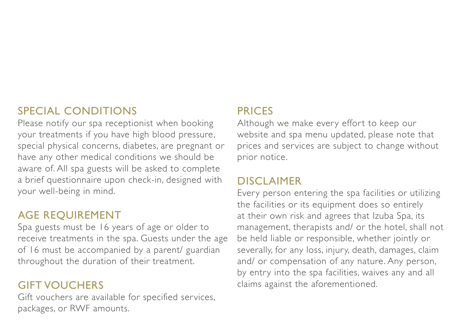# Special Conditions

Please notify our spa receptionist when booking your treatments if you have high blood pressure, special physical concerns, diabetes, are pregnant or have any other medical conditions we should be aware of. All spa guests will be asked to complete a brief questionnaire upon check-in, designed with your well-being in mind.

## Age Requirement

Spa guests must be 16 years of age or older to receive treatments in the spa. Guests under the age of 16 must be accompanied by a parent/ guardian throughout the duration of their treatment.

#### Gift Vouchers

Gift vouchers are available for specified services, packages, or RWF amounts.

### **PRICES**

Although we make every effort to keep our website and spa menu updated, please note that prices and services are subject to change without prior notice.

#### **DISCLAIMER**

Every person entering the spa facilities or utilizing the facilities or its equipment does so entirely at their own risk and agrees that Izuba Spa, its management, therapists and/ or the hotel, shall not be held liable or responsible, whether jointly or severally, for any loss, injury, death, damages, claim and/ or compensation of any nature. Any person, by entry into the spa facilities, waives any and all claims against the aforementioned.